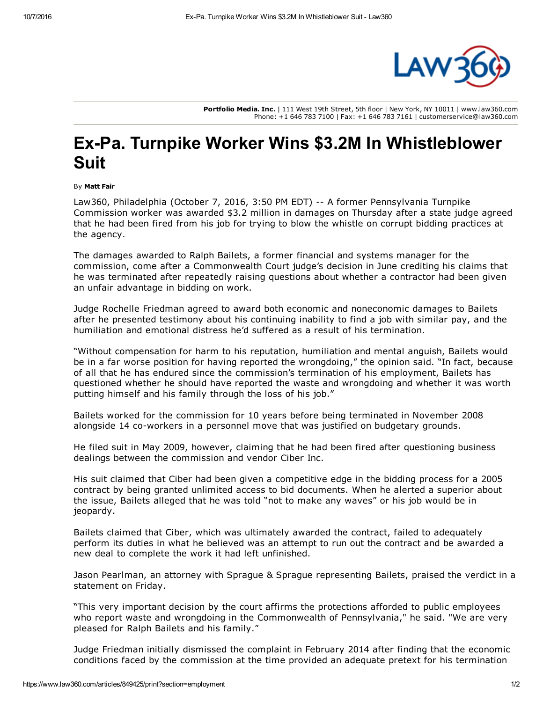

Portfolio Media. Inc. | 111 West 19th Street, 5th floor | New York, NY 10011 | www.law360.com Phone: +1 646 783 7100 | Fax: +1 646 783 7161 | customerservice@law360.com

## Ex-Pa. Turnpike Worker Wins \$3.2M In Whistleblower Suit

By Matt Fair

Law360, Philadelphia (October 7, 2016, 3:50 PM EDT) -- A former Pennsylvania Turnpike Commission worker was awarded \$3.2 million in damages on Thursday after a state judge agreed that he had been fired from his job for trying to blow the whistle on corrupt bidding practices at the agency.

The damages awarded to Ralph Bailets, a former financial and systems manager for the commission, come after a Commonwealth Court judge's decision in June crediting his claims that he was terminated after repeatedly raising questions about whether a contractor had been given an unfair advantage in bidding on work.

Judge Rochelle Friedman agreed to award both economic and noneconomic damages to Bailets after he presented testimony about his continuing inability to find a job with similar pay, and the humiliation and emotional distress he'd suffered as a result of his termination.

"Without compensation for harm to his reputation, humiliation and mental anguish, Bailets would be in a far worse position for having reported the wrongdoing," the opinion said. "In fact, because of all that he has endured since the commission's termination of his employment, Bailets has questioned whether he should have reported the waste and wrongdoing and whether it was worth putting himself and his family through the loss of his job."

Bailets worked for the commission for 10 years before being terminated in November 2008 alongside 14 co-workers in a personnel move that was justified on budgetary grounds.

He filed suit in May 2009, however, claiming that he had been fired after questioning business dealings between the commission and vendor Ciber Inc.

His suit claimed that Ciber had been given a competitive edge in the bidding process for a 2005 contract by being granted unlimited access to bid documents. When he alerted a superior about the issue, Bailets alleged that he was told "not to make any waves" or his job would be in jeopardy.

Bailets claimed that Ciber, which was ultimately awarded the contract, failed to adequately perform its duties in what he believed was an attempt to run out the contract and be awarded a new deal to complete the work it had left unfinished.

Jason Pearlman, an attorney with Sprague & [Sprague](https://www.law360.com/firm/sprague-sprague) representing Bailets, praised the verdict in a statement on Friday.

"This very important decision by the court affirms the protections afforded to public employees who report waste and wrongdoing in the Commonwealth of Pennsylvania," he said. "We are very pleased for Ralph Bailets and his family."

Judge Friedman initially dismissed the complaint in February 2014 after finding that the economic conditions faced by the commission at the time provided an adequate pretext for his termination